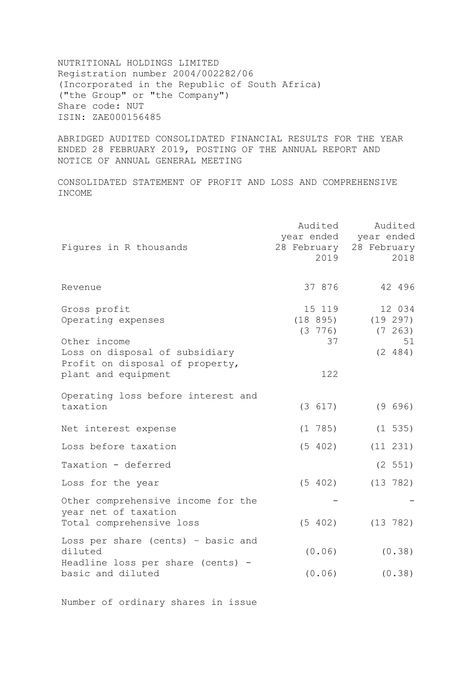NUTRITIONAL HOLDINGS LIMITED Registration number 2004/002282/06 (Incorporated in the Republic of South Africa) ("the Group" or "the Company") Share code: NUT ISIN: ZAE000156485

ABRIDGED AUDITED CONSOLIDATED FINANCIAL RESULTS FOR THE YEAR ENDED 28 FEBRUARY 2019, POSTING OF THE ANNUAL REPORT AND NOTICE OF ANNUAL GENERAL MEETING

CONSOLIDATED STATEMENT OF PROFIT AND LOSS AND COMPREHENSIVE INCOME

| Figures in R thousands                                                                   | Audited<br>2019            | Audited<br>year ended year ended<br>28 February 28 February<br>2018 |
|------------------------------------------------------------------------------------------|----------------------------|---------------------------------------------------------------------|
| Revenue                                                                                  | 37 876                     | 42 496                                                              |
| Gross profit<br>Operating expenses<br>Other income                                       | 15 119<br>$(3\ 776)$<br>37 | 12 034<br>$(18 895)$ $(19 297)$<br>$(7 \ 263)$<br>51                |
| Loss on disposal of subsidiary<br>Profit on disposal of property,<br>plant and equipment | 122                        | (2 484)                                                             |
| Operating loss before interest and<br>taxation                                           | (3 617)                    | (9 696)                                                             |
| Net interest expense                                                                     | $(1\ \ 785)$               | $(1\;535)$                                                          |
| Loss before taxation                                                                     | (5 402)                    | (11 231)                                                            |
| Taxation - deferred                                                                      |                            | (2 551)                                                             |
| Loss for the year                                                                        | (5 402)                    | (13 782)                                                            |
| Other comprehensive income for the<br>year net of taxation<br>Total comprehensive loss   | (5 402)                    | (13 782)                                                            |
| Loss per share (cents) - basic and<br>diluted<br>Headline loss per share (cents) -       | (0.06)                     | (0.38)                                                              |
| basic and diluted                                                                        | (0.06)                     | (0.38)                                                              |

Number of ordinary shares in issue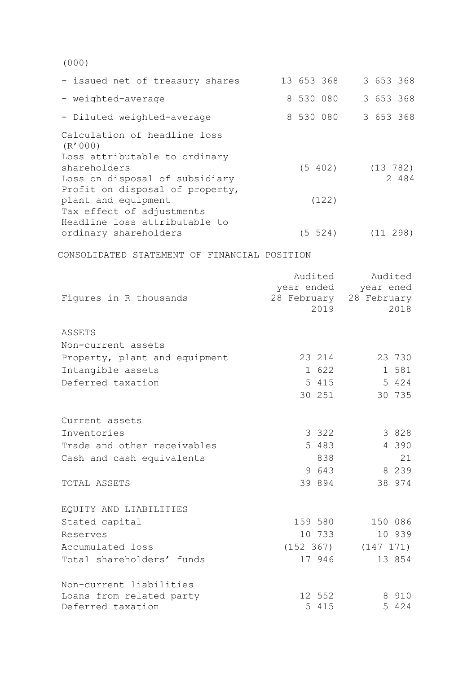(000)

| - issued net of treasury shares                                                   | 13 653 368  | 3 653 368            |
|-----------------------------------------------------------------------------------|-------------|----------------------|
| - weighted-average                                                                | 8 530 080   | 3 653 368            |
| - Diluted weighted-average                                                        | 8 530 080   | 3 653 368            |
| Calculation of headline loss<br>(R'000)<br>Loss attributable to ordinary          |             |                      |
| shareholders<br>Loss on disposal of subsidiary<br>Profit on disposal of property, | (5 402)     | $(13\ 782)$<br>2 484 |
| plant and equipment<br>Tax effect of adjustments<br>Headline loss attributable to | (122)       |                      |
| ordinary shareholders                                                             | $(5 \t524)$ | $(11 \t298)$         |
|                                                                                   |             |                      |

CONSOLIDATED STATEMENT OF FINANCIAL POSITION

|                               | Audited    | Audited<br>year ened    |  |  |
|-------------------------------|------------|-------------------------|--|--|
| Figures in R thousands        | year ended | 28 February 28 February |  |  |
|                               | 2019       | 2018                    |  |  |
| ASSETS                        |            |                         |  |  |
| Non-current assets            |            |                         |  |  |
| Property, plant and equipment | 23 214     | 23 730                  |  |  |
| Intangible assets             | 1 622      | 1 581                   |  |  |
| Deferred taxation             | 5 415      | 5 424                   |  |  |
|                               | 30 251     | 30 735                  |  |  |
| Current assets                |            |                         |  |  |
| Inventories                   | 3 3 2 2    | 3 8 2 8                 |  |  |
| Trade and other receivables   | 5 483      | 4 3 9 0                 |  |  |
| Cash and cash equivalents     | 838        | 21                      |  |  |
|                               | 9 643      | 8 2 3 9                 |  |  |
| TOTAL ASSETS                  | 39 894     | 38 974                  |  |  |
| EQUITY AND LIABILITIES        |            |                         |  |  |
| Stated capital                | 159 580    | 150 086                 |  |  |
| Reserves                      | 10 733     | 10 939                  |  |  |
| Accumulated loss              |            | $(152 367)$ $(147 171)$ |  |  |
| Total shareholders' funds     | 17 946     | 13 854                  |  |  |
| Non-current liabilities       |            |                         |  |  |
| Loans from related party      | 12 552     | 8 910                   |  |  |
| Deferred taxation             | 5 415      | 5 424                   |  |  |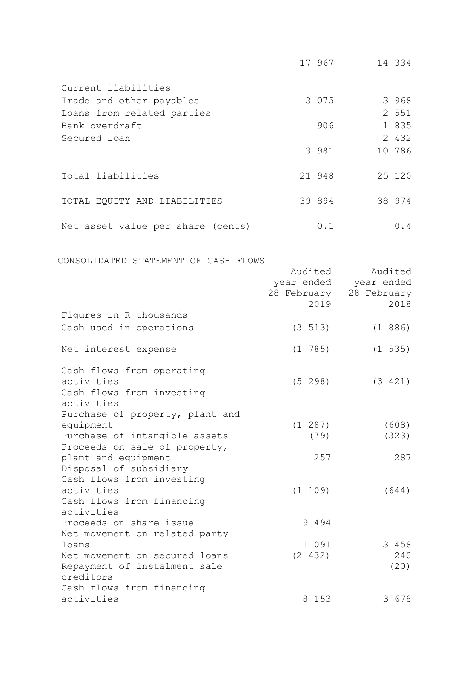|                                   | 17 967  | 14 334 |
|-----------------------------------|---------|--------|
| Current liabilities               |         |        |
| Trade and other payables          | 3 0 7 5 | 3 968  |
| Loans from related parties        |         | 2 551  |
| Bank overdraft                    | 906     | 1 835  |
| Secured loan                      |         | 2 432  |
|                                   | 3 981   | 10 786 |
| Total liabilities                 | 21 948  | 25 120 |
| TOTAL EQUITY AND LIABILITIES      | 39 894  | 38 974 |
| Net asset value per share (cents) | 0.1     | 0.4    |

CONSOLIDATED STATEMENT OF CASH FLOWS

|                                                       | Audited<br>28 February<br>2019 | Audited<br>year ended year ended<br>28 February<br>2018 |
|-------------------------------------------------------|--------------------------------|---------------------------------------------------------|
| Figures in R thousands                                |                                |                                                         |
| Cash used in operations                               | (3 513)                        | (1 886)                                                 |
| Net interest expense                                  | (1 785)                        | (1 535)                                                 |
| Cash flows from operating                             |                                |                                                         |
| activities<br>Cash flows from investing<br>activities | (5 298)                        | (3 421)                                                 |
| Purchase of property, plant and                       |                                |                                                         |
| equipment                                             | (1 287)                        | (608)                                                   |
| Purchase of intangible assets                         | (79)                           | (323)                                                   |
| Proceeds on sale of property,                         |                                |                                                         |
| plant and equipment                                   | 257                            | 287                                                     |
| Disposal of subsidiary                                |                                |                                                         |
| Cash flows from investing                             |                                |                                                         |
| activities                                            | (1 109)                        | (644)                                                   |
| Cash flows from financing                             |                                |                                                         |
| activities                                            |                                |                                                         |
| Proceeds on share issue                               | 9 4 9 4                        |                                                         |
| Net movement on related party                         | 1 0 9 1                        | 3 458                                                   |
| loans<br>Net movement on secured loans                | (2 432)                        | 240                                                     |
| Repayment of instalment sale                          |                                | (20)                                                    |
| creditors                                             |                                |                                                         |
| Cash flows from financing                             |                                |                                                         |
| activities                                            | 8 153                          | 3 678                                                   |
|                                                       |                                |                                                         |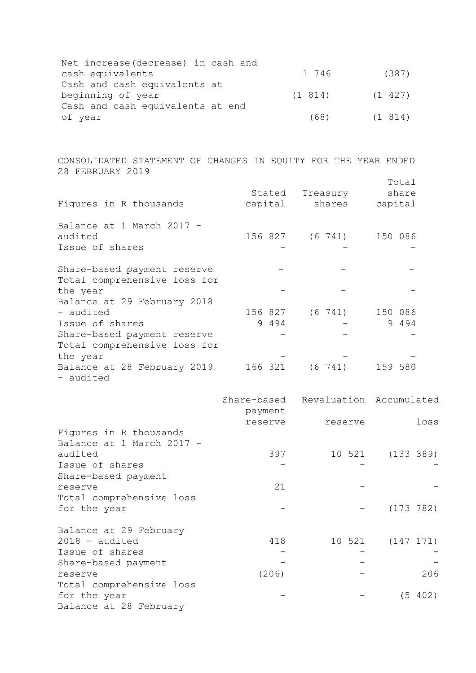| Net increase (decrease) in cash and |                     |       |
|-------------------------------------|---------------------|-------|
| cash equivalents                    | 1746                | (387) |
| Cash and cash equivalents at        |                     |       |
| beginning of year                   | $(1 814)$ $(1 427)$ |       |
| Cash and cash equivalents at end    |                     |       |
| of year                             | $(68)$ $(1814)$     |       |

CONSOLIDATED STATEMENT OF CHANGES IN EQUITY FOR THE YEAR ENDED 28 FEBRUARY 2019

| Figures in R thousands                                      | Stated<br>capital | Treasury<br>shares      | Total<br>share<br>capital |
|-------------------------------------------------------------|-------------------|-------------------------|---------------------------|
| Balance at 1 March 2017 -<br>audited<br>Issue of shares     |                   | 156 827 (6 741) 150 086 |                           |
| Share-based payment reserve<br>Total comprehensive loss for |                   |                         |                           |
| the year<br>Balance at 29 February 2018                     |                   |                         |                           |
| - audited                                                   | 156 827           |                         | (6 741) 150 086           |
| Issue of shares                                             | 9494              |                         | 9 4 9 4                   |
| Share-based payment reserve<br>Total comprehensive loss for |                   |                         |                           |
| the year                                                    |                   |                         |                           |
| Balance at 28 February 2019<br>- audited                    | 166 321           | $(6\ \ 741)$            | 159 580                   |

|                                                     | payment | Share-based Revaluation Accumulated |           |
|-----------------------------------------------------|---------|-------------------------------------|-----------|
|                                                     | reserve | reserve                             | loss      |
| Figures in R thousands<br>Balance at 1 March 2017 - |         |                                     |           |
| audited                                             | 397     | 10 521                              | (133 389) |
| Issue of shares                                     |         |                                     |           |
| Share-based payment                                 |         |                                     |           |
| reserve                                             | 21      |                                     |           |
| Total comprehensive loss                            |         |                                     |           |
| for the year                                        |         |                                     | (173 782) |
| Balance at 29 February                              |         |                                     |           |
| $2018 - \text{audited}$                             | 418     | 10 521                              | (147 171) |
| Issue of shares                                     |         |                                     |           |
| Share-based payment                                 |         |                                     |           |
| reserve                                             | (206)   |                                     | 206       |
| Total comprehensive loss                            |         |                                     |           |
| for the year                                        |         |                                     | (5402)    |
| Balance at 28 February                              |         |                                     |           |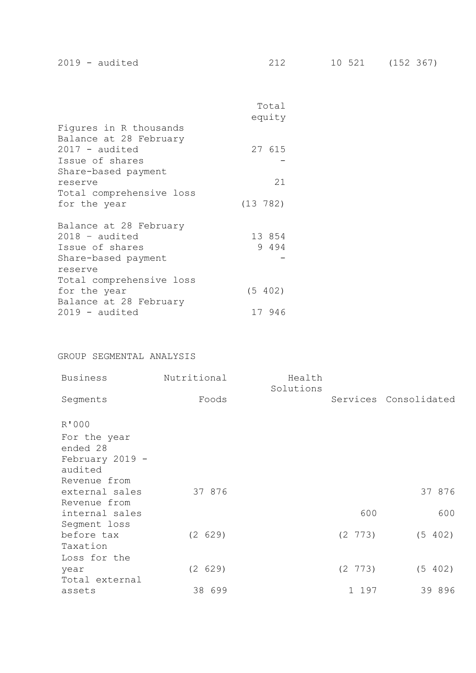|                          | Total<br>equity |  |
|--------------------------|-----------------|--|
| Figures in R thousands   |                 |  |
| Balance at 28 February   |                 |  |
| $2017 - \text{audited}$  | 27 615          |  |
| Issue of shares          |                 |  |
| Share-based payment      |                 |  |
| reserve                  | 21              |  |
| Total comprehensive loss |                 |  |
| for the year             | (13 782)        |  |
|                          |                 |  |
| Balance at 28 February   |                 |  |
| $2018 - \text{audited}$  | 13 854          |  |
| Issue of shares          | 9 4 9 4         |  |
| Share-based payment      |                 |  |
| reserve                  |                 |  |
| Total comprehensive loss |                 |  |
|                          |                 |  |
| for the year             | (5 402)         |  |
| Balance at 28 February   |                 |  |
| $2019 - \text{audited}$  | 17 946          |  |

# GROUP SEGMENTAL ANALYSIS

| <b>Business</b>                                                                 | Nutritional       | Health<br>Solutions |                       |                       |
|---------------------------------------------------------------------------------|-------------------|---------------------|-----------------------|-----------------------|
| Segments                                                                        | Foods             |                     |                       | Services Consolidated |
| R'000<br>For the year<br>ended 28<br>February 2019 -<br>audited<br>Revenue from |                   |                     |                       |                       |
| external sales<br>Revenue from<br>internal sales<br>Segment loss                | 37 876            |                     | 600                   | 37 876<br>600         |
| before tax<br>Taxation<br>Loss for the                                          | (2 629)           |                     | $(2 \t773)$           | (5 402)               |
| year<br>Total external<br>assets                                                | (2 629)<br>38 699 |                     | $(2\ \ 773)$<br>1 197 | (5 402)<br>39 896     |
|                                                                                 |                   |                     |                       |                       |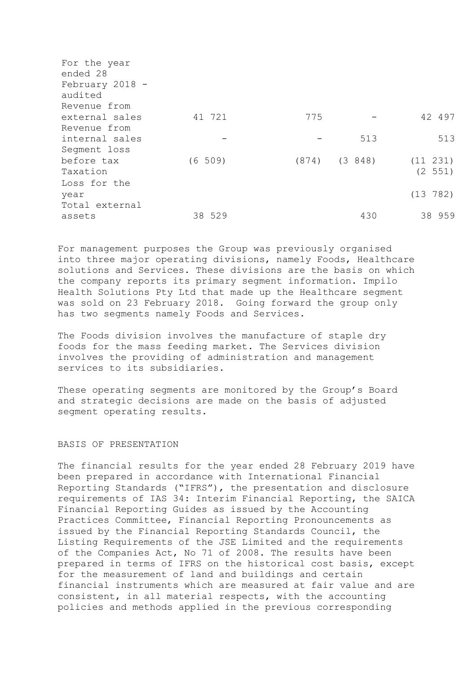| For the year<br>ended 28 |            |     |                  |          |
|--------------------------|------------|-----|------------------|----------|
| February 2018 -          |            |     |                  |          |
| audited                  |            |     |                  |          |
| Revenue from             |            |     |                  |          |
| external sales           | 41 721     | 775 |                  | 42 497   |
| Revenue from             |            |     |                  |          |
| internal sales           |            |     | 513              | 513      |
| Segment loss             |            |     |                  |          |
| before tax               | $(6\ 509)$ |     | $(874)$ $(3848)$ | (11 231) |
| Taxation                 |            |     |                  | (2 551)  |
| Loss for the             |            |     |                  |          |
| year                     |            |     |                  | (13 782) |
| Total external           |            |     |                  |          |
| assets                   | 38 529     |     | 430              | 38 959   |
|                          |            |     |                  |          |

For management purposes the Group was previously organised into three major operating divisions, namely Foods, Healthcare solutions and Services. These divisions are the basis on which the company reports its primary segment information. Impilo Health Solutions Pty Ltd that made up the Healthcare segment was sold on 23 February 2018. Going forward the group only has two segments namely Foods and Services.

The Foods division involves the manufacture of staple dry foods for the mass feeding market. The Services division involves the providing of administration and management services to its subsidiaries.

These operating segments are monitored by the Group's Board and strategic decisions are made on the basis of adjusted segment operating results.

# BASIS OF PRESENTATION

The financial results for the year ended 28 February 2019 have been prepared in accordance with International Financial Reporting Standards ("IFRS"), the presentation and disclosure requirements of IAS 34: Interim Financial Reporting, the SAICA Financial Reporting Guides as issued by the Accounting Practices Committee, Financial Reporting Pronouncements as issued by the Financial Reporting Standards Council, the Listing Requirements of the JSE Limited and the requirements of the Companies Act, No 71 of 2008. The results have been prepared in terms of IFRS on the historical cost basis, except for the measurement of land and buildings and certain financial instruments which are measured at fair value and are consistent, in all material respects, with the accounting policies and methods applied in the previous corresponding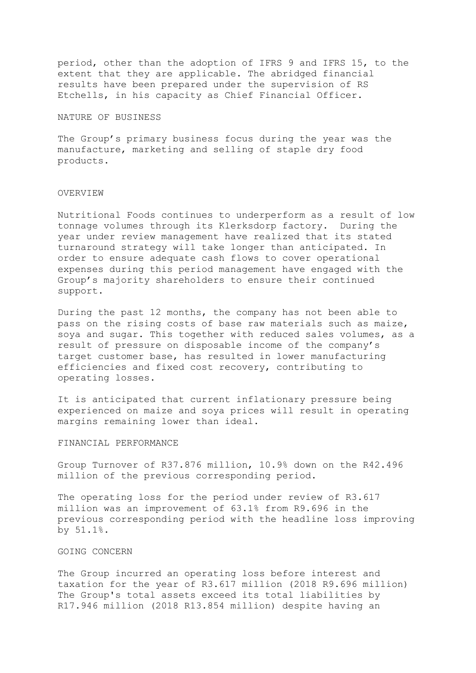period, other than the adoption of IFRS 9 and IFRS 15, to the extent that they are applicable. The abridged financial results have been prepared under the supervision of RS Etchells, in his capacity as Chief Financial Officer.

#### NATURE OF BUSINESS

The Group's primary business focus during the year was the manufacture, marketing and selling of staple dry food products.

#### OVERVIEW

Nutritional Foods continues to underperform as a result of low tonnage volumes through its Klerksdorp factory. During the year under review management have realized that its stated turnaround strategy will take longer than anticipated. In order to ensure adequate cash flows to cover operational expenses during this period management have engaged with the Group's majority shareholders to ensure their continued support.

During the past 12 months, the company has not been able to pass on the rising costs of base raw materials such as maize, soya and sugar. This together with reduced sales volumes, as a result of pressure on disposable income of the company's target customer base, has resulted in lower manufacturing efficiencies and fixed cost recovery, contributing to operating losses.

It is anticipated that current inflationary pressure being experienced on maize and soya prices will result in operating margins remaining lower than ideal.

# FINANCIAL PERFORMANCE

Group Turnover of R37.876 million, 10.9% down on the R42.496 million of the previous corresponding period.

The operating loss for the period under review of R3.617 million was an improvement of 63.1% from R9.696 in the previous corresponding period with the headline loss improving by 51.1%.

## GOING CONCERN

The Group incurred an operating loss before interest and taxation for the year of R3.617 million (2018 R9.696 million) The Group's total assets exceed its total liabilities by R17.946 million (2018 R13.854 million) despite having an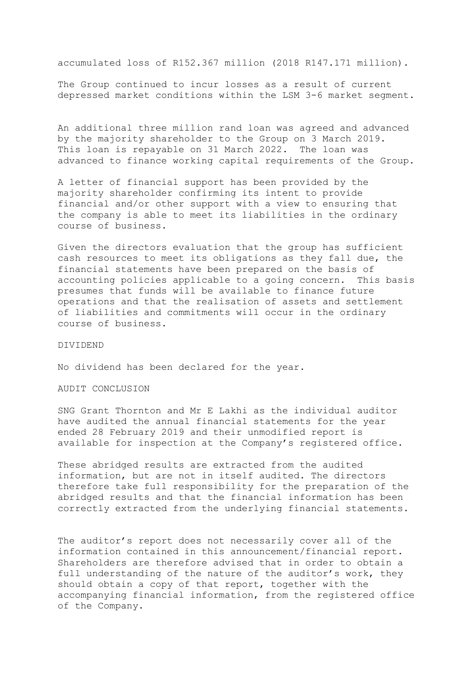accumulated loss of R152.367 million (2018 R147.171 million).

The Group continued to incur losses as a result of current depressed market conditions within the LSM 3-6 market segment.

An additional three million rand loan was agreed and advanced by the majority shareholder to the Group on 3 March 2019. This loan is repayable on 31 March 2022. The loan was advanced to finance working capital requirements of the Group.

A letter of financial support has been provided by the majority shareholder confirming its intent to provide financial and/or other support with a view to ensuring that the company is able to meet its liabilities in the ordinary course of business.

Given the directors evaluation that the group has sufficient cash resources to meet its obligations as they fall due, the financial statements have been prepared on the basis of accounting policies applicable to a going concern. This basis presumes that funds will be available to finance future operations and that the realisation of assets and settlement of liabilities and commitments will occur in the ordinary course of business.

### DIVIDEND

No dividend has been declared for the year.

# AUDIT CONCLUSION

SNG Grant Thornton and Mr E Lakhi as the individual auditor have audited the annual financial statements for the year ended 28 February 2019 and their unmodified report is available for inspection at the Company's registered office.

These abridged results are extracted from the audited information, but are not in itself audited. The directors therefore take full responsibility for the preparation of the abridged results and that the financial information has been correctly extracted from the underlying financial statements.

The auditor's report does not necessarily cover all of the information contained in this announcement/financial report. Shareholders are therefore advised that in order to obtain a full understanding of the nature of the auditor's work, they should obtain a copy of that report, together with the accompanying financial information, from the registered office of the Company.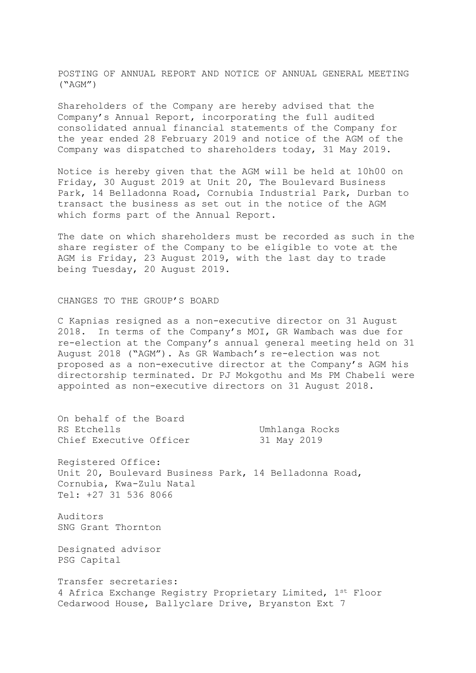POSTING OF ANNUAL REPORT AND NOTICE OF ANNUAL GENERAL MEETING ("AGM")

Shareholders of the Company are hereby advised that the Company's Annual Report, incorporating the full audited consolidated annual financial statements of the Company for the year ended 28 February 2019 and notice of the AGM of the Company was dispatched to shareholders today, 31 May 2019.

Notice is hereby given that the AGM will be held at 10h00 on Friday, 30 August 2019 at Unit 20, The Boulevard Business Park, 14 Belladonna Road, Cornubia Industrial Park, Durban to transact the business as set out in the notice of the AGM which forms part of the Annual Report.

The date on which shareholders must be recorded as such in the share register of the Company to be eligible to vote at the AGM is Friday, 23 August 2019, with the last day to trade being Tuesday, 20 August 2019.

#### CHANGES TO THE GROUP'S BOARD

C Kapnias resigned as a non-executive director on 31 August 2018. In terms of the Company's MOI, GR Wambach was due for re-election at the Company's annual general meeting held on 31 August 2018 ("AGM"). As GR Wambach's re-election was not proposed as a non-executive director at the Company's AGM his directorship terminated. Dr PJ Mokgothu and Ms PM Chabeli were appointed as non-executive directors on 31 August 2018.

On behalf of the Board RS Etchells **Example 2018** Umhlanga Rocks Chief Executive Officer 31 May 2019 Registered Office: Unit 20, Boulevard Business Park, 14 Belladonna Road, Cornubia, Kwa-Zulu Natal Tel: +27 31 536 8066 Auditors SNG Grant Thornton Designated advisor PSG Capital Transfer secretaries:

4 Africa Exchange Registry Proprietary Limited, 1st Floor Cedarwood House, Ballyclare Drive, Bryanston Ext 7